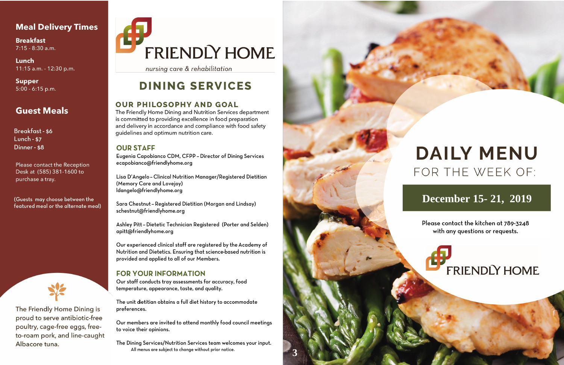# **Meal Delivery Times**

**Breakfast**  $7:15 - 8:30$  a.m.

Lunch 11:15 a.m. - 12:30 p.m.

**Supper**  $5:00 - 6:15$  p.m.

# **Guest Meals**

**Breakfast - \$6** Lunch -  $$7$ Dinner - \$8

Please contact the Reception Desk at (585) 381-1600 to purchase a tray.

(Guests may choose between the featured meal or the alternate meal)



The Friendly Home Dining is proud to serve antibiotic-free poultry, cage-free eggs, freeto-roam pork, and line-caught Albacore tuna.

# FRIENDLY HOME

nursing care & rehabilitation

# **DINING SERVICES**

### **OUR PHILOSOPHY AND GOAL**

The Friendly Home Dining and Nutrition Services department is committed to providing excellence in food preparation and delivery in accordance and compliance with food safety guidelines and optimum nutrition care.

### **OUR STAFF**

Eugenia Capobianco CDM, CFPP - Director of Dining Services ecapobianco@friendlyhome.org

Lisa D'Angelo - Clinical Nutrition Manager/Registered Dietitian (Memory Care and Lovejoy) ldangelo@friendlyhome.org

Sara Chestnut - Registered Dietitian (Morgan and Lindsay) schestnut@friendlyhome.org

Ashley Pitt - Dietetic Technician Registered (Porter and Selden) apitt@friendlyhome.org

Our experienced clinical staff are registered by the Academy of Nutrition and Dietetics. Ensuring that science-based nutrition is provided and applied to all of our Members.

## **FOR YOUR INFORMATION**

Our staff conducts tray assessments for accuracy, food temperature, appearance, taste, and quality.

The unit dietitian obtains a full diet history to accommodate preferences.

Our members are invited to attend monthly food council meetings to voice their opinions.

The Dining Services/Nutrition Services team welcomes your input. All menus are subject to change without prior notice.



# **DAILY MENU** FOR THE WEEK OF:

# December 15-21, 2019

Please contact the kitchen at 789-3248 with any questions or requests.

**FRIENDLY HOME**